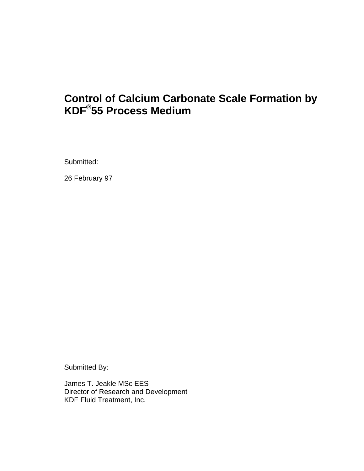# **Control of Calcium Carbonate Scale Formation by KDF® 55 Process Medium**

Submitted:

26 February 97

Submitted By:

James T. Jeakle MSc EES Director of Research and Development KDF Fluid Treatment, Inc.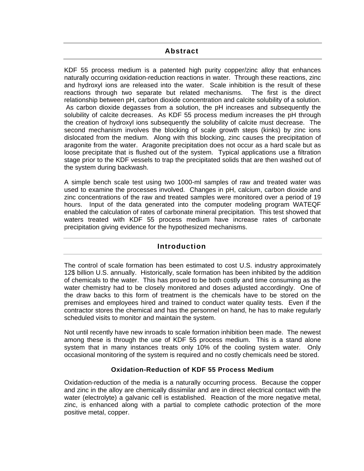# **Abstract**

<span id="page-2-0"></span>KDF 55 process medium is a patented high purity copper/zinc alloy that enhances naturally occurring oxidation-reduction reactions in water. Through these reactions, zinc and hydroxyl ions are released into the water. Scale inhibition is the result of these reactions through two separate but related mechanisms. The first is the direct relationship between pH, carbon dioxide concentration and calcite solubility of a solution. As carbon dioxide degasses from a solution, the pH increases and subsequently the solubility of calcite decreases. As KDF 55 process medium increases the pH through the creation of hydroxyl ions subsequently the solubility of calcite must decrease. The second mechanism involves the blocking of scale growth steps (kinks) by zinc ions dislocated from the medium. Along with this blocking, zinc causes the precipitation of aragonite from the water. Aragonite precipitation does not occur as a hard scale but as loose precipitate that is flushed out of the system. Typical applications use a filtration stage prior to the KDF vessels to trap the precipitated solids that are then washed out of the system during backwash.

A simple bench scale test using two 1000-ml samples of raw and treated water was used to examine the processes involved. Changes in pH, calcium, carbon dioxide and zinc concentrations of the raw and treated samples were monitored over a period of 19 hours. Input of the data generated into the computer modeling program WATEQF enabled the calculation of rates of carbonate mineral precipitation. This test showed that waters treated with KDF 55 process medium have increase rates of carbonate precipitation giving evidence for the hypothesized mechanisms.

# **Introduction**

The control of scale formation has been estimated to cost U.S. industry approximately 12\$ billion U.S. annually. Historically, scale formation has been inhibited by the addition of chemicals to the water. This has proved to be both costly and time consuming as the water chemistry had to be closely monitored and doses adjusted accordingly. One of the draw backs to this form of treatment is the chemicals have to be stored on the premises and employees hired and trained to conduct water quality tests. Even if the contractor stores the chemical and has the personnel on hand, he has to make regularly scheduled visits to monitor and maintain the system.

Not until recently have new inroads to scale formation inhibition been made. The newest among these is through the use of KDF 55 process medium. This is a stand alone system that in many instances treats only 10% of the cooling system water. Only occasional monitoring of the system is required and no costly chemicals need be stored.

# **Oxidation-Reduction of KDF 55 Process Medium**

Oxidation-reduction of the media is a naturally occurring process. Because the copper and zinc in the alloy are chemically dissimilar and are in direct electrical contact with the water (electrolyte) a galvanic cell is established. Reaction of the more negative metal, zinc, is enhanced along with a partial to complete cathodic protection of the more positive metal, copper.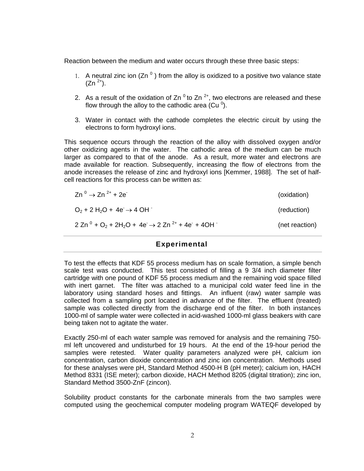<span id="page-3-0"></span>Reaction between the medium and water occurs through these three basic steps:

- 1. A neutral zinc ion  $(Zn<sup>0</sup>)$  from the alloy is oxidized to a positive two valance state  $(Zn^{2+})$ .
- 2. As a result of the oxidation of Zn<sup>o</sup> to Zn<sup>2+</sup>, two electrons are released and these flow through the alloy to the cathodic area (Cu  $^0$ ).
- 3. Water in contact with the cathode completes the electric circuit by using the electrons to form hydroxyl ions.

This sequence occurs through the reaction of the alloy with dissolved oxygen and/or other oxidizing agents in the water. The cathodic area of the medium can be much larger as compared to that of the anode. As a result, more water and electrons are made available for reaction. Subsequently, increasing the flow of electrons from the anode increases the release of zinc and hydroxyl ions [Kemmer, 1988]. The set of halfcell reactions for this process can be written as:

| $Zn^{0} \rightarrow Zn^{2+} + 2e^{-}$                        | (oxidation)    |
|--------------------------------------------------------------|----------------|
| $O_2$ + 2 H <sub>2</sub> O + 4e $\rightarrow$ 4 OH           | (reduction)    |
| $2 Zn^0 + O_2 + 2H_2O + 4e \rightarrow 2 Zn^{2+} + 4e + 4OH$ | (net reaction) |

#### **Experimental**

To test the effects that KDF 55 process medium has on scale formation, a simple bench scale test was conducted. This test consisted of filling a 9 3/4 inch diameter filter cartridge with one pound of KDF 55 process medium and the remaining void space filled with inert garnet. The filter was attached to a municipal cold water feed line in the laboratory using standard hoses and fittings. An influent (raw) water sample was collected from a sampling port located in advance of the filter. The effluent (treated) sample was collected directly from the discharge end of the filter. In both instances 1000-ml of sample water were collected in acid-washed 1000-ml glass beakers with care being taken not to agitate the water.

Exactly 250-ml of each water sample was removed for analysis and the remaining 750 ml left uncovered and undisturbed for 19 hours. At the end of the 19-hour period the samples were retested. Water quality parameters analyzed were pH, calcium ion concentration, carbon dioxide concentration and zinc ion concentration. Methods used for these analyses were pH, Standard Method 4500-H B (pH meter); calcium ion, HACH Method 8331 (ISE meter); carbon dioxide, HACH Method 8205 (digital titration); zinc ion, Standard Method 3500-ZnF (zincon).

Solubility product constants for the carbonate minerals from the two samples were computed using the geochemical computer modeling program WATEQF developed by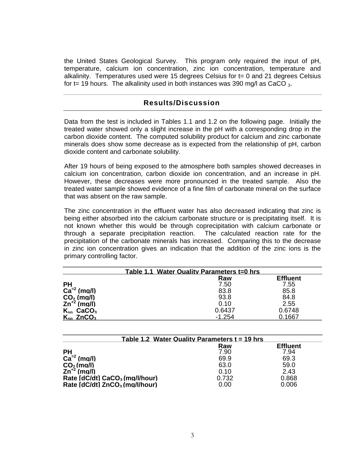<span id="page-4-0"></span>the United States Geological Survey. This program only required the input of pH, temperature, calcium ion concentration, zinc ion concentration, temperature and alkalinity. Temperatures used were 15 degrees Celsius for t= 0 and 21 degrees Celsius for t= 19 hours. The alkalinity used in both instances was 390 mg/l as CaCO  $_3$ .

## **Results/Discussion**

Data from the test is included in Tables 1.1 and 1.2 on the following page. Initially the treated water showed only a slight increase in the pH with a corresponding drop in the carbon dioxide content. The computed solubility product for calcium and zinc carbonate minerals does show some decrease as is expected from the relationship of pH, carbon dioxide content and carbonate solubility.

After 19 hours of being exposed to the atmosphere both samples showed decreases in calcium ion concentration, carbon dioxide ion concentration, and an increase in pH. However, these decreases were more pronounced in the treated sample. Also the treated water sample showed evidence of a fine film of carbonate mineral on the surface that was absent on the raw sample.

The zinc concentration in the effluent water has also decreased indicating that zinc is being either absorbed into the calcium carbonate structure or is precipitating itself. It is not known whether this would be through coprecipitation with calcium carbonate or through a separate precipitation reaction. The calculated reaction rate for the precipitation of the carbonate minerals has increased. Comparing this to the decrease in zinc ion concentration gives an indication that the addition of the zinc ions is the primary controlling factor.

| Table 1.1 Water Quality Parameters t=0 hrs |          |                 |  |
|--------------------------------------------|----------|-----------------|--|
|                                            | Raw      | <b>Effluent</b> |  |
| <b>PH</b>                                  | 7.50     | 7.55            |  |
| $Ca^{-2}$ (mg/l)                           | 83.8     | 85.8            |  |
| $CO2$ (mg/l)                               | 93.8     | 84.8            |  |
| $Zn^{2}$ (mg/l)                            | 0.10     | 2.55            |  |
| $K_{sn}$ CaCO <sub>3</sub>                 | 0.6437   | 0.6748          |  |
| $K_{sn}$ ZnCO <sub>3</sub>                 | $-1.254$ | 0.1667          |  |

| Table 1.2 Water Quality Parameters $t = 19$ hrs |       |                 |  |  |
|-------------------------------------------------|-------|-----------------|--|--|
|                                                 | Raw   | <b>Effluent</b> |  |  |
| <b>PH</b>                                       | 7.90  | 7.94            |  |  |
| $Ca=2$<br>(mq/l)                                | 69.9  | 69.3            |  |  |
| $CO2$ (mg/l)                                    | 63.0  | 59.0            |  |  |
| $Zn^{2}$ (mg/l)                                 | 0.10  | 2.43            |  |  |
| Rate [dC/dt] CaCO <sub>3</sub> (mg/l/hour)      | 0.732 | 0.868           |  |  |
| Rate [dC/dt] ZnCO <sub>3</sub> (mg/l/hour)      | 0.00  | 0.006           |  |  |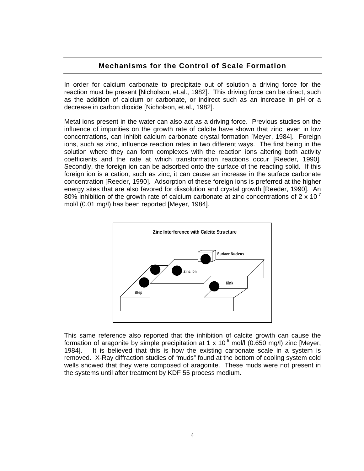## **Mechanisms for the Control of Scale Formation**

<span id="page-5-0"></span>In order for calcium carbonate to precipitate out of solution a driving force for the reaction must be present [Nicholson, et.al., 1982]. This driving force can be direct, such as the addition of calcium or carbonate, or indirect such as an increase in pH or a decrease in carbon dioxide [Nicholson, et.al., 1982].

Metal ions present in the water can also act as a driving force. Previous studies on the influence of impurities on the growth rate of calcite have shown that zinc, even in low concentrations, can inhibit calcium carbonate crystal formation [Meyer, 1984]. Foreign ions, such as zinc, influence reaction rates in two different ways. The first being in the solution where they can form complexes with the reaction ions altering both activity coefficients and the rate at which transformation reactions occur [Reeder, 1990]. Secondly, the foreign ion can be adsorbed onto the surface of the reacting solid. If this foreign ion is a cation, such as zinc, it can cause an increase in the surface carbonate concentration [Reeder, 1990]. Adsorption of these foreign ions is preferred at the higher energy sites that are also favored for dissolution and crystal growth [Reeder, 1990]. An 80% inhibition of the growth rate of calcium carbonate at zinc concentrations of  $2 \times 10^{-7}$ mol/l (0.01 mg/l) has been reported [Meyer, 1984].



This same reference also reported that the inhibition of calcite growth can cause the formation of aragonite by simple precipitation at 1 x 10<sup>-5</sup> mol/l (0.650 mg/l) zinc [Meyer, 1984]. It is believed that this is how the existing carbonate scale in a system is removed. X-Ray diffraction studies of "muds" found at the bottom of cooling system cold wells showed that they were composed of aragonite. These muds were not present in the systems until after treatment by KDF 55 process medium.